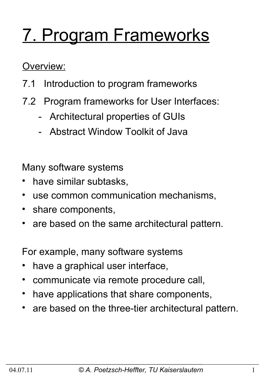# 7. Program Frameworks

Overview:

- 7.1 Introduction to program frameworks
- 7.2 Program frameworks for User Interfaces:
	- Architectural properties of GUIs
	- Abstract Window Toolkit of Java

Many software systems

- have similar subtasks,
- use common communication mechanisms,
- share components,
- are based on the same architectural pattern.

For example, many software systems

- have a graphical user interface,
- communicate via remote procedure call,
- have applications that share components,
- are based on the three-tier architectural pattern.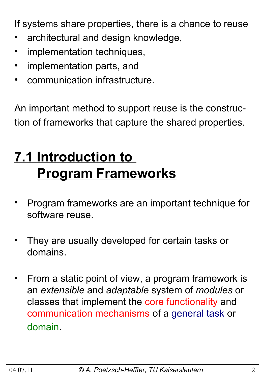If systems share properties, there is a chance to reuse

- architectural and design knowledge,
- implementation techniques,
- implementation parts, and
- communication infrastructure.

An important method to support reuse is the construction of frameworks that capture the shared properties.

# **7.1 Introduction to Program Frameworks**

- Program frameworks are an important technique for software reuse.
- They are usually developed for certain tasks or domains.
- From a static point of view, a program framework is an *extensible* and *adaptable* system of *modules* or classes that implement the core functionality and communication mechanisms of a general task or domain.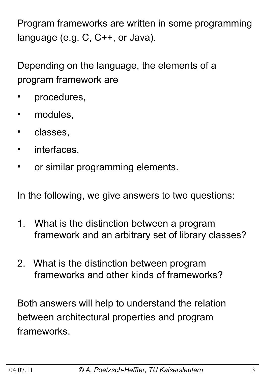Program frameworks are written in some programming language (e.g. C, C++, or Java).

Depending on the language, the elements of a program framework are

- procedures,
- modules,
- classes,
- interfaces,
- or similar programming elements.

In the following, we give answers to two questions:

- 1. What is the distinction between a program framework and an arbitrary set of library classes?
- 2. What is the distinction between program frameworks and other kinds of frameworks?

Both answers will help to understand the relation between architectural properties and program frameworks.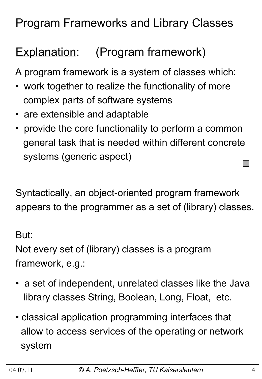# **Program Frameworks and Library Classes**

# Explanation: (Program framework)

A program framework is a system of classes which:

- work together to realize the functionality of more complex parts of software systems
- are extensible and adaptable
- provide the core functionality to perform a common general task that is needed within different concrete systems (generic aspect)

Syntactically, an object-oriented program framework appears to the programmer as a set of (library) classes.

But:

Not every set of (library) classes is a program framework, e.g.:

- a set of independent, unrelated classes like the Java library classes String, Boolean, Long, Float, etc.
- classical application programming interfaces that allow to access services of the operating or network system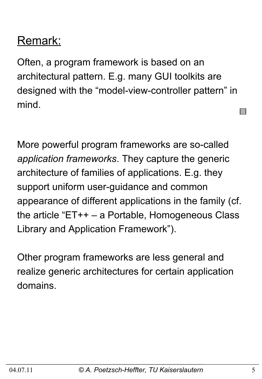# Remark:

Often, a program framework is based on an architectural pattern. E.g. many GUI toolkits are designed with the "model-view-controller pattern" in mind.

More powerful program frameworks are so-called *application frameworks*. They capture the generic architecture of families of applications. E.g. they support uniform user-guidance and common appearance of different applications in the family (cf. the article "ET++ – a Portable, Homogeneous Class Library and Application Framework").

Other program frameworks are less general and realize generic architectures for certain application domains.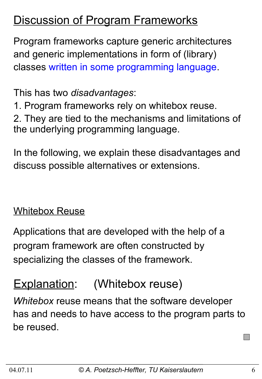## **Discussion of Program Frameworks**

Program frameworks capture generic architectures and generic implementations in form of (library) classes written in some programming language.

This has two *disadvantages*:

1. Program frameworks rely on whitebox reuse.

2. They are tied to the mechanisms and limitations of the underlying programming language.

In the following, we explain these disadvantages and discuss possible alternatives or extensions.

#### Whitebox Reuse

Applications that are developed with the help of a program framework are often constructed by specializing the classes of the framework.

# Explanation: (Whitebox reuse)

*Whitebox* reuse means that the software developer has and needs to have access to the program parts to be reused.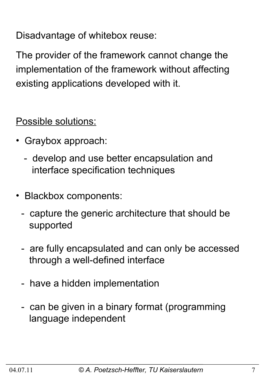Disadvantage of whitebox reuse:

The provider of the framework cannot change the implementation of the framework without affecting existing applications developed with it.

Possible solutions:

- •Graybox approach:
	- develop and use better encapsulation and interface specification techniques
- •Blackbox components:
	- capture the generic architecture that should be supported
	- are fully encapsulated and can only be accessed through a well-defined interface
	- have a hidden implementation
	- can be given in a binary format (programming language independent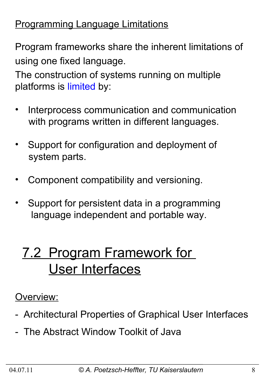### Programming Language Limitations

Program frameworks share the inherent limitations of using one fixed language.

The construction of systems running on multiple platforms is limited by:

- Interprocess communication and communication with programs written in different languages.
- Support for configuration and deployment of system parts.
- Component compatibility and versioning.
- Support for persistent data in a programming language independent and portable way.

# 7.2 Program Framework for User Interfaces

### Overview:

- Architectural Properties of Graphical User Interfaces
- The Abstract Window Toolkit of Java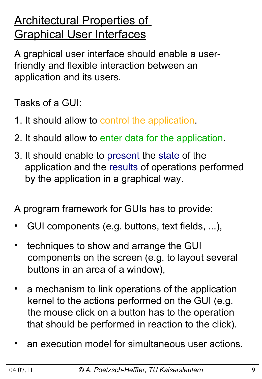# **Architectural Properties of** Graphical User Interfaces

A graphical user interface should enable a userfriendly and flexible interaction between an application and its users.

### Tasks of a GUI:

- 1. It should allow to control the application.
- 2. It should allow to enter data for the application.
- 3. It should enable to present the state of the application and the results of operations performed by the application in a graphical way.

A program framework for GUIs has to provide:

- GUI components (e.g. buttons, text fields, ...),
- techniques to show and arrange the GUI components on the screen (e.g. to layout several buttons in an area of a window),
- a mechanism to link operations of the application kernel to the actions performed on the GUI (e.g. the mouse click on a button has to the operation that should be performed in reaction to the click).
- an execution model for simultaneous user actions.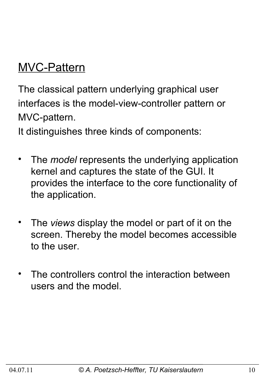# MVC-Pattern

The classical pattern underlying graphical user interfaces is the model-view-controller pattern or MVC-pattern.

It distinguishes three kinds of components:

- The *model* represents the underlying application kernel and captures the state of the GUI. It provides the interface to the core functionality of the application.
- The *views* display the model or part of it on the screen. Thereby the model becomes accessible to the user.
- The controllers control the interaction between users and the model.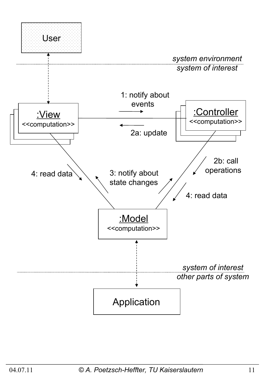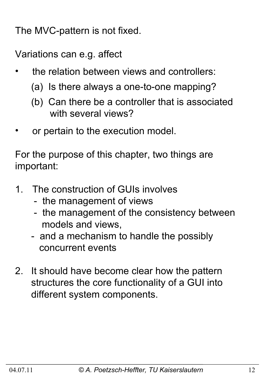The MVC-pattern is not fixed.

Variations can e.g. affect

- the relation between views and controllers:
	- (a) Is there always a one-to-one mapping?
	- (b) Can there be a controller that is associated with several views?
- or pertain to the execution model.

For the purpose of this chapter, two things are important:

- 1. The construction of GUIs involves
	- the management of views
	- the management of the consistency between models and views,
	- and a mechanism to handle the possibly concurrent events
- 2. It should have become clear how the pattern structures the core functionality of a GUI into different system components.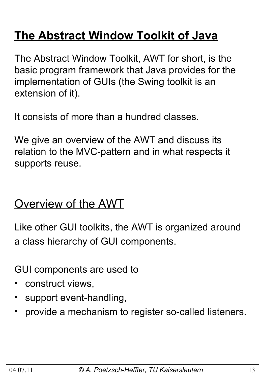# **The Abstract Window Toolkit of Java**

The Abstract Window Toolkit, AWT for short, is the basic program framework that Java provides for the implementation of GUIs (the Swing toolkit is an extension of it).

It consists of more than a hundred classes.

We give an overview of the AWT and discuss its relation to the MVC-pattern and in what respects it supports reuse.

### Overview of the AWT

Like other GUI toolkits, the AWT is organized around a class hierarchy of GUI components.

GUI components are used to

- construct views,
- support event-handling,
- provide a mechanism to register so-called listeners.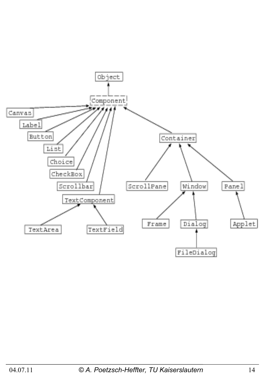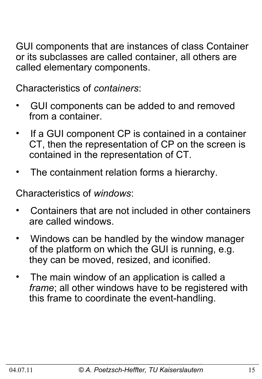GUI components that are instances of class Container or its subclasses are called container, all others are called elementary components.

Characteristics of *containers*:

- GUI components can be added to and removed from a container.
- If a GUI component CP is contained in a container CT, then the representation of CP on the screen is contained in the representation of CT.
- The containment relation forms a hierarchy.

Characteristics of *windows*:

- Containers that are not included in other containers are called windows.
- Windows can be handled by the window manager of the platform on which the GUI is running, e.g. they can be moved, resized, and iconified.
- The main window of an application is called a  *frame*; all other windows have to be registered with this frame to coordinate the event-handling.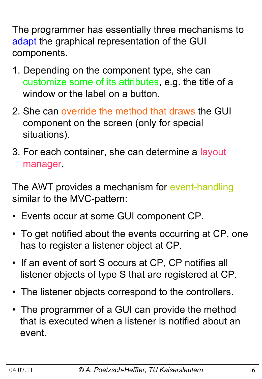The programmer has essentially three mechanisms to adapt the graphical representation of the GUI components.

- 1. Depending on the component type, she can customize some of its attributes, e.g. the title of a window or the label on a button.
- 2. She can override the method that draws the GUI component on the screen (only for special situations).
- 3. For each container, she can determine a layout manager.

The AWT provides a mechanism for event-handling similar to the MVC-pattern:

- Events occur at some GUI component CP.
- To get notified about the events occurring at CP, one has to register a listener object at CP.
- If an event of sort S occurs at CP, CP notifies all listener objects of type S that are registered at CP.
- The listener objects correspond to the controllers.
- The programmer of a GUI can provide the method that is executed when a listener is notified about an event.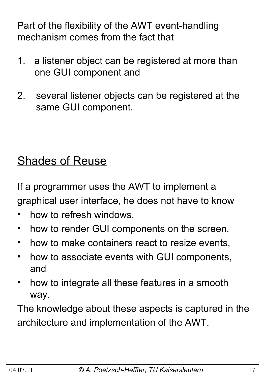Part of the flexibility of the AWT event-handling mechanism comes from the fact that

- 1. a listener object can be registered at more than one GUI component and
- 2. several listener objects can be registered at the same GUI component.

# **Shades of Reuse**

If a programmer uses the AWT to implement a graphical user interface, he does not have to know

- how to refresh windows,
- how to render GUI components on the screen,
- how to make containers react to resize events,
- how to associate events with GUI components, and
- how to integrate all these features in a smooth way.

The knowledge about these aspects is captured in the architecture and implementation of the AWT.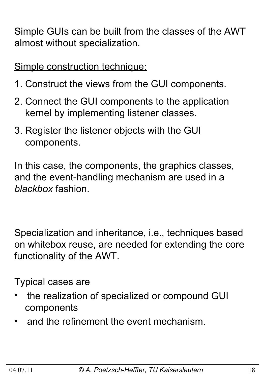Simple GUIs can be built from the classes of the AWT almost without specialization.

Simple construction technique:

- 1. Construct the views from the GUI components.
- 2. Connect the GUI components to the application kernel by implementing listener classes.
- 3. Register the listener objects with the GUI components.

In this case, the components, the graphics classes, and the event-handling mechanism are used in a *blackbox* fashion.

Specialization and inheritance, i.e., techniques based on whitebox reuse, are needed for extending the core functionality of the AWT.

Typical cases are

- the realization of specialized or compound GUI components
- and the refinement the event mechanism.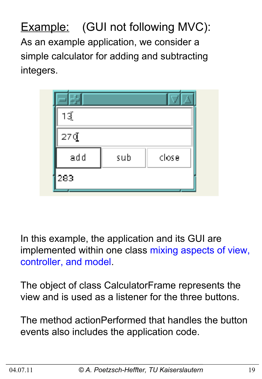**Example:** (GUI not following MVC): As an example application, we consider a simple calculator for adding and subtracting integers.

| 13ૂં   |     |       |
|--------|-----|-------|
| $27\P$ |     |       |
| add    | sub | close |
| 283    |     |       |

In this example, the application and its GUI are implemented within one class mixing aspects of view, controller, and model.

The object of class CalculatorFrame represents the view and is used as a listener for the three buttons.

The method actionPerformed that handles the button events also includes the application code.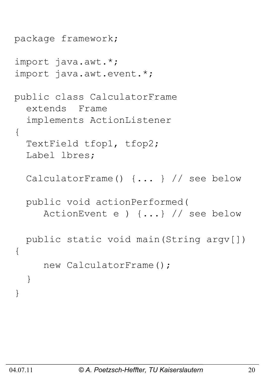```
package framework;
import java.awt.*;
import java.awt.event.*;
public class CalculatorFrame
   extends Frame 
   implements ActionListener 
{
   TextField tfop1, tfop2;
   Label lbres;
   CalculatorFrame() {... } // see below
   public void actionPerformed(
      ActionEvent e ) {...} // see below
   public static void main(String argv[]) 
{ 
      new CalculatorFrame();
   }
}
```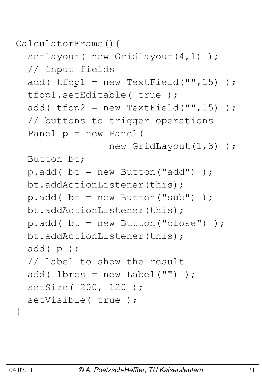```
CalculatorFrame(){
```

```
setLayout ( new GridLayout (4, 1) ) ;
 // input fields
add( t fop1 = new TextField("", 15) );
 tfop1.setEditable( true );
add( t fop2 = new TextField("", 15) );
 // buttons to trigger operations
 Panel p = new Panel( 
               new GridLayout (1,3) );
 Button bt;
p.add() bt = new Button("add"));
 bt.addActionListener(this);
p.add() bt = new Button("sub") );
 bt.addActionListener(this);
p.add() bt = new Button("close") );
 bt.addActionListener(this);
 add( p );
 // label to show the result
add( lbres = new Label("") );
 setSize( 200, 120 );
setVisible( true );
```
}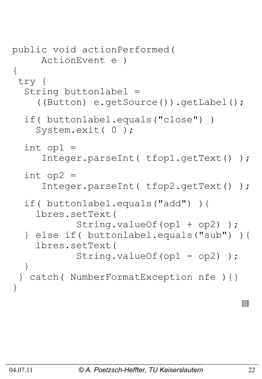```
public void actionPerformed( 
      ActionEvent e )
{
 try {
   String buttonlabel =
     ((Button) e.getSource()).getLabel();
   if( buttonlabel.equals("close") )
     System.exit( 0 );
  int op1 =
      Integer.parseInt( tfop1.getText() );
  int op2 = Integer.parseInt( tfop2.getText() );
   if( buttonlabel.equals("add") ){
     lbres.setText( 
            String.valueOf(op1 + op2) );
   } else if( buttonlabel.equals("sub") ){
     lbres.setText( 
           String.valueOf(op1 - op2));
   }
 } catch( NumberFormatException nfe ){}
}
```